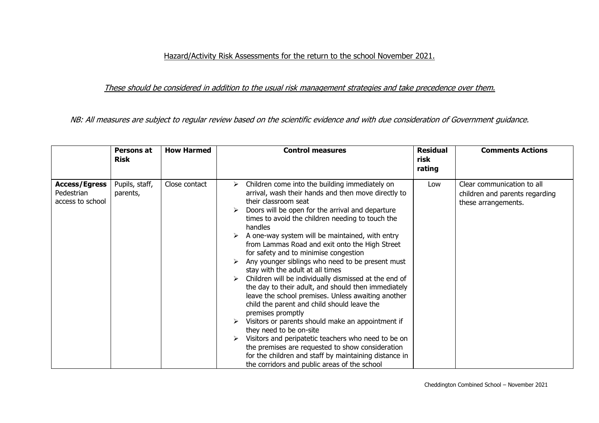## Hazard/Activity Risk Assessments for the return to the school November 2021.

## These should be considered in addition to the usual risk management strategies and take precedence over them.

NB: All measures are subject to regular review based on the scientific evidence and with due consideration of Government guidance.

|                                                        | Persons at<br><b>Risk</b>  | <b>How Harmed</b> | <b>Control measures</b>                                                                                                                                                                                                                                                                                                                                                                                                                                                                                                                                                                                                                                                                                                                                                                                                                                                                                                                                                                                                                   | <b>Residual</b><br>risk<br>rating | <b>Comments Actions</b>                                                             |
|--------------------------------------------------------|----------------------------|-------------------|-------------------------------------------------------------------------------------------------------------------------------------------------------------------------------------------------------------------------------------------------------------------------------------------------------------------------------------------------------------------------------------------------------------------------------------------------------------------------------------------------------------------------------------------------------------------------------------------------------------------------------------------------------------------------------------------------------------------------------------------------------------------------------------------------------------------------------------------------------------------------------------------------------------------------------------------------------------------------------------------------------------------------------------------|-----------------------------------|-------------------------------------------------------------------------------------|
| <b>Access/Egress</b><br>Pedestrian<br>access to school | Pupils, staff,<br>parents, | Close contact     | Children come into the building immediately on<br>⋗<br>arrival, wash their hands and then move directly to<br>their classroom seat<br>Doors will be open for the arrival and departure<br>times to avoid the children needing to touch the<br>handles<br>A one-way system will be maintained, with entry<br>from Lammas Road and exit onto the High Street<br>for safety and to minimise congestion<br>Any younger siblings who need to be present must<br>stay with the adult at all times<br>Children will be individually dismissed at the end of<br>the day to their adult, and should then immediately<br>leave the school premises. Unless awaiting another<br>child the parent and child should leave the<br>premises promptly<br>Visitors or parents should make an appointment if<br>they need to be on-site<br>Visitors and peripatetic teachers who need to be on<br>the premises are requested to show consideration<br>for the children and staff by maintaining distance in<br>the corridors and public areas of the school | Low                               | Clear communication to all<br>children and parents regarding<br>these arrangements. |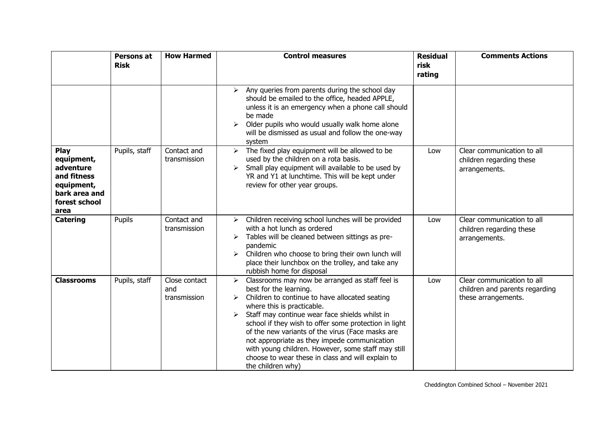|                                                                                                               | Persons at<br><b>Risk</b> | <b>How Harmed</b>                    | <b>Control measures</b>                                                                                                                                                                                                                                                                                                                                                                                                                                                                                                           | <b>Residual</b><br>risk | <b>Comments Actions</b>                                                             |
|---------------------------------------------------------------------------------------------------------------|---------------------------|--------------------------------------|-----------------------------------------------------------------------------------------------------------------------------------------------------------------------------------------------------------------------------------------------------------------------------------------------------------------------------------------------------------------------------------------------------------------------------------------------------------------------------------------------------------------------------------|-------------------------|-------------------------------------------------------------------------------------|
|                                                                                                               |                           |                                      |                                                                                                                                                                                                                                                                                                                                                                                                                                                                                                                                   | rating                  |                                                                                     |
|                                                                                                               |                           |                                      | Any queries from parents during the school day<br>➤<br>should be emailed to the office, headed APPLE,<br>unless it is an emergency when a phone call should<br>be made<br>Older pupils who would usually walk home alone<br>≻<br>will be dismissed as usual and follow the one-way<br>system                                                                                                                                                                                                                                      |                         |                                                                                     |
| <b>Play</b><br>equipment,<br>adventure<br>and fitness<br>equipment,<br>bark area and<br>forest school<br>area | Pupils, staff             | Contact and<br>transmission          | The fixed play equipment will be allowed to be<br>➤<br>used by the children on a rota basis.<br>Small play equipment will available to be used by<br>YR and Y1 at lunchtime. This will be kept under<br>review for other year groups.                                                                                                                                                                                                                                                                                             | Low                     | Clear communication to all<br>children regarding these<br>arrangements.             |
| <b>Catering</b>                                                                                               | Pupils                    | Contact and<br>transmission          | Children receiving school lunches will be provided<br>$\blacktriangleright$<br>with a hot lunch as ordered<br>Tables will be cleaned between sittings as pre-<br>➤<br>pandemic<br>Children who choose to bring their own lunch will<br>➤<br>place their lunchbox on the trolley, and take any<br>rubbish home for disposal                                                                                                                                                                                                        | Low                     | Clear communication to all<br>children regarding these<br>arrangements.             |
| <b>Classrooms</b>                                                                                             | Pupils, staff             | Close contact<br>and<br>transmission | Classrooms may now be arranged as staff feel is<br>$\blacktriangleright$<br>best for the learning.<br>Children to continue to have allocated seating<br>where this is practicable.<br>Staff may continue wear face shields whilst in<br>school if they wish to offer some protection in light<br>of the new variants of the virus (Face masks are<br>not appropriate as they impede communication<br>with young children. However, some staff may still<br>choose to wear these in class and will explain to<br>the children why) | Low                     | Clear communication to all<br>children and parents regarding<br>these arrangements. |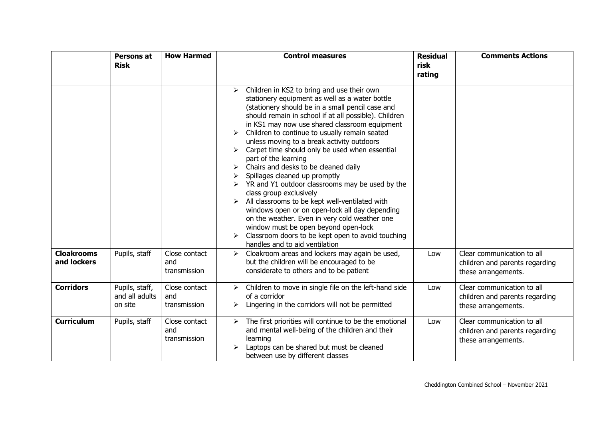|                                  | Persons at                                  | <b>How Harmed</b>                    | <b>Control measures</b>                                                                                                                                                                                                                                                                                                                                                                                                                                                                                                                                                                                                                                                                                                                                                                                                                                                                                 | <b>Residual</b> | <b>Comments Actions</b>                                                             |
|----------------------------------|---------------------------------------------|--------------------------------------|---------------------------------------------------------------------------------------------------------------------------------------------------------------------------------------------------------------------------------------------------------------------------------------------------------------------------------------------------------------------------------------------------------------------------------------------------------------------------------------------------------------------------------------------------------------------------------------------------------------------------------------------------------------------------------------------------------------------------------------------------------------------------------------------------------------------------------------------------------------------------------------------------------|-----------------|-------------------------------------------------------------------------------------|
|                                  | <b>Risk</b>                                 |                                      |                                                                                                                                                                                                                                                                                                                                                                                                                                                                                                                                                                                                                                                                                                                                                                                                                                                                                                         | risk<br>rating  |                                                                                     |
|                                  |                                             |                                      |                                                                                                                                                                                                                                                                                                                                                                                                                                                                                                                                                                                                                                                                                                                                                                                                                                                                                                         |                 |                                                                                     |
|                                  |                                             |                                      | Children in KS2 to bring and use their own<br>$\blacktriangleright$<br>stationery equipment as well as a water bottle<br>(stationery should be in a small pencil case and<br>should remain in school if at all possible). Children<br>in KS1 may now use shared classroom equipment<br>Children to continue to usually remain seated<br>unless moving to a break activity outdoors<br>Carpet time should only be used when essential<br>part of the learning<br>Chairs and desks to be cleaned daily<br>Spillages cleaned up promptly<br>YR and Y1 outdoor classrooms may be used by the<br>class group exclusively<br>All classrooms to be kept well-ventilated with<br>windows open or on open-lock all day depending<br>on the weather. Even in very cold weather one<br>window must be open beyond open-lock<br>Classroom doors to be kept open to avoid touching<br>handles and to aid ventilation |                 |                                                                                     |
| <b>Cloakrooms</b><br>and lockers | Pupils, staff                               | Close contact<br>and<br>transmission | Cloakroom areas and lockers may again be used,<br>≻<br>but the children will be encouraged to be<br>considerate to others and to be patient                                                                                                                                                                                                                                                                                                                                                                                                                                                                                                                                                                                                                                                                                                                                                             | Low             | Clear communication to all<br>children and parents regarding<br>these arrangements. |
| <b>Corridors</b>                 | Pupils, staff,<br>and all adults<br>on site | Close contact<br>and<br>transmission | Children to move in single file on the left-hand side<br>➤<br>of a corridor<br>Lingering in the corridors will not be permitted                                                                                                                                                                                                                                                                                                                                                                                                                                                                                                                                                                                                                                                                                                                                                                         | Low             | Clear communication to all<br>children and parents regarding<br>these arrangements. |
| <b>Curriculum</b>                | Pupils, staff                               | Close contact<br>and<br>transmission | The first priorities will continue to be the emotional<br>≻<br>and mental well-being of the children and their<br>learning<br>Laptops can be shared but must be cleaned<br>between use by different classes                                                                                                                                                                                                                                                                                                                                                                                                                                                                                                                                                                                                                                                                                             | Low             | Clear communication to all<br>children and parents regarding<br>these arrangements. |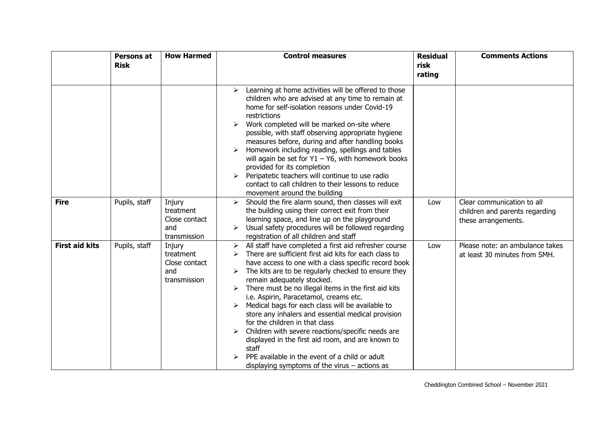|                       | Persons at<br><b>Risk</b> | <b>How Harmed</b>                                           | <b>Control measures</b>                                                                                                                                                                                                                                                                                                                                                                                                                                                                                                                                                                                                                                                                                                                                 | <b>Residual</b><br>risk | <b>Comments Actions</b>                                                             |
|-----------------------|---------------------------|-------------------------------------------------------------|---------------------------------------------------------------------------------------------------------------------------------------------------------------------------------------------------------------------------------------------------------------------------------------------------------------------------------------------------------------------------------------------------------------------------------------------------------------------------------------------------------------------------------------------------------------------------------------------------------------------------------------------------------------------------------------------------------------------------------------------------------|-------------------------|-------------------------------------------------------------------------------------|
|                       |                           |                                                             |                                                                                                                                                                                                                                                                                                                                                                                                                                                                                                                                                                                                                                                                                                                                                         | rating                  |                                                                                     |
|                       |                           |                                                             | Learning at home activities will be offered to those<br>➤<br>children who are advised at any time to remain at<br>home for self-isolation reasons under Covid-19<br>restrictions<br>Work completed will be marked on-site where<br>➤<br>possible, with staff observing appropriate hygiene<br>measures before, during and after handling books<br>Homework including reading, spellings and tables<br>⋗<br>will again be set for $Y1 - Y6$ , with homework books<br>provided for its completion<br>Peripatetic teachers will continue to use radio<br>➤<br>contact to call children to their lessons to reduce<br>movement around the building                                                                                                          |                         |                                                                                     |
| <b>Fire</b>           | Pupils, staff             | Injury<br>treatment<br>Close contact<br>and<br>transmission | Should the fire alarm sound, then classes will exit<br>≻<br>the building using their correct exit from their<br>learning space, and line up on the playground<br>Usual safety procedures will be followed regarding<br>registration of all children and staff                                                                                                                                                                                                                                                                                                                                                                                                                                                                                           | Low                     | Clear communication to all<br>children and parents regarding<br>these arrangements. |
| <b>First aid kits</b> | Pupils, staff             | Injury<br>treatment<br>Close contact<br>and<br>transmission | All staff have completed a first aid refresher course<br>➤<br>There are sufficient first aid kits for each class to<br>have access to one with a class specific record book<br>The kits are to be regularly checked to ensure they<br>remain adequately stocked.<br>$\triangleright$ There must be no illegal items in the first aid kits<br>i.e. Aspirin, Paracetamol, creams etc.<br>Medical bags for each class will be available to<br>store any inhalers and essential medical provision<br>for the children in that class<br>Children with severe reactions/specific needs are<br>displayed in the first aid room, and are known to<br>staff<br>PPE available in the event of a child or adult<br>displaying symptoms of the virus $-$ actions as | Low                     | Please note: an ambulance takes<br>at least 30 minutes from SMH.                    |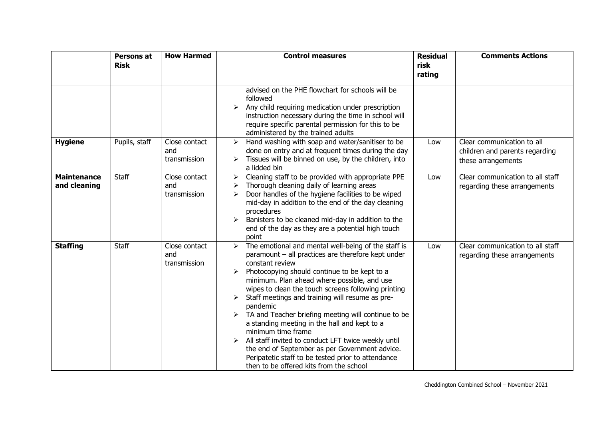|                                    | Persons at<br><b>Risk</b> | <b>How Harmed</b>                    | <b>Control measures</b>                                                                                                                                                                                                                                                                                                                                                                                                                                                                                                                                                                                                                                                                                   | <b>Residual</b><br>risk | <b>Comments Actions</b>                                                            |
|------------------------------------|---------------------------|--------------------------------------|-----------------------------------------------------------------------------------------------------------------------------------------------------------------------------------------------------------------------------------------------------------------------------------------------------------------------------------------------------------------------------------------------------------------------------------------------------------------------------------------------------------------------------------------------------------------------------------------------------------------------------------------------------------------------------------------------------------|-------------------------|------------------------------------------------------------------------------------|
|                                    |                           |                                      |                                                                                                                                                                                                                                                                                                                                                                                                                                                                                                                                                                                                                                                                                                           | rating                  |                                                                                    |
|                                    |                           |                                      | advised on the PHE flowchart for schools will be<br>followed<br>Any child requiring medication under prescription<br>➤<br>instruction necessary during the time in school will<br>require specific parental permission for this to be<br>administered by the trained adults                                                                                                                                                                                                                                                                                                                                                                                                                               |                         |                                                                                    |
| <b>Hygiene</b>                     | Pupils, staff             | Close contact<br>and<br>transmission | Hand washing with soap and water/sanitiser to be<br>➤<br>done on entry and at frequent times during the day<br>Tissues will be binned on use, by the children, into<br>a lidded bin                                                                                                                                                                                                                                                                                                                                                                                                                                                                                                                       | Low                     | Clear communication to all<br>children and parents regarding<br>these arrangements |
| <b>Maintenance</b><br>and cleaning | <b>Staff</b>              | Close contact<br>and<br>transmission | Cleaning staff to be provided with appropriate PPE<br>$\blacktriangleright$<br>Thorough cleaning daily of learning areas<br>➤<br>Door handles of the hygiene facilities to be wiped<br>≻<br>mid-day in addition to the end of the day cleaning<br>procedures<br>Banisters to be cleaned mid-day in addition to the<br>end of the day as they are a potential high touch<br>point                                                                                                                                                                                                                                                                                                                          | Low                     | Clear communication to all staff<br>regarding these arrangements                   |
| <b>Staffing</b>                    | <b>Staff</b>              | Close contact<br>and<br>transmission | The emotional and mental well-being of the staff is<br>paramount - all practices are therefore kept under<br>constant review<br>Photocopying should continue to be kept to a<br>minimum. Plan ahead where possible, and use<br>wipes to clean the touch screens following printing<br>Staff meetings and training will resume as pre-<br>pandemic<br>$\triangleright$ TA and Teacher briefing meeting will continue to be<br>a standing meeting in the hall and kept to a<br>minimum time frame<br>All staff invited to conduct LFT twice weekly until<br>the end of September as per Government advice.<br>Peripatetic staff to be tested prior to attendance<br>then to be offered kits from the school | Low                     | Clear communication to all staff<br>regarding these arrangements                   |